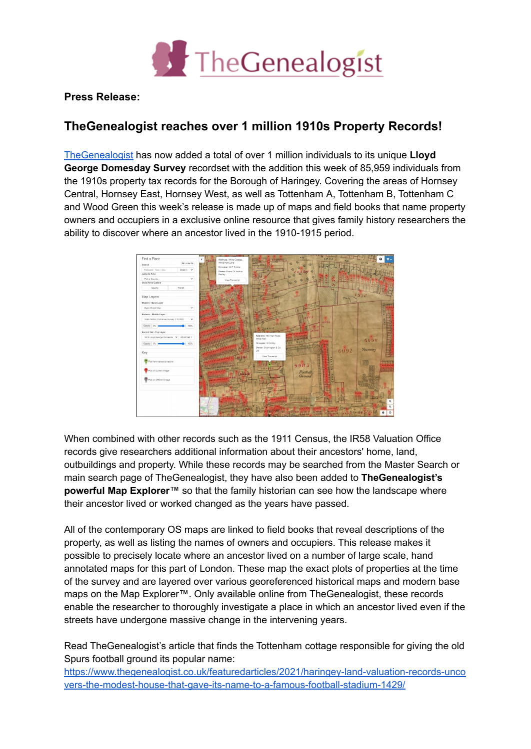

**Press Release:**

## **TheGenealogist reaches over 1 million 1910s Property Records!**

[TheGenealogist](https://www.thegenealogist.co.uk) has now added a total of over 1 million individuals to its unique **Lloyd George Domesday Survey** recordset with the addition this week of 85,959 individuals from the 1910s property tax records for the Borough of Haringey. Covering the areas of Hornsey Central, Hornsey East, Hornsey West, as well as Tottenham A, Tottenham B, Tottenham C and Wood Green this week's release is made up of maps and field books that name property owners and occupiers in a exclusive online resource that gives family history researchers the ability to discover where an ancestor lived in the 1910-1915 period.



When combined with other records such as the 1911 Census, the IR58 Valuation Office records give researchers additional information about their ancestors' home, land, outbuildings and property. While these records may be searched from the Master Search or main search page of TheGenealogist, they have also been added to **TheGenealogist's powerful Map Explorer™** so that the family historian can see how the landscape where their ancestor lived or worked changed as the years have passed.

All of the contemporary OS maps are linked to field books that reveal descriptions of the property, as well as listing the names of owners and occupiers. This release makes it possible to precisely locate where an ancestor lived on a number of large scale, hand annotated maps for this part of London. These map the exact plots of properties at the time of the survey and are layered over various georeferenced historical maps and modern base maps on the Map Explorer™. Only available online from TheGenealogist, these records enable the researcher to thoroughly investigate a place in which an ancestor lived even if the streets have undergone massive change in the intervening years.

Read TheGenealogist's article that finds the Tottenham cottage responsible for giving the old Spurs football ground its popular name:

[https://www.thegenealogist.co.uk/featuredarticles/2021/haringey-land-valuation-records-unco](https://www.thegenealogist.co.uk/featuredarticles/2021/haringey-land-valuation-records-uncovers-the-modest-house-that-gave-its-name-to-a-famous-football-stadium-1429/) [vers-the-modest-house-that-gave-its-name-to-a-famous-football-stadium-1429/](https://www.thegenealogist.co.uk/featuredarticles/2021/haringey-land-valuation-records-uncovers-the-modest-house-that-gave-its-name-to-a-famous-football-stadium-1429/)